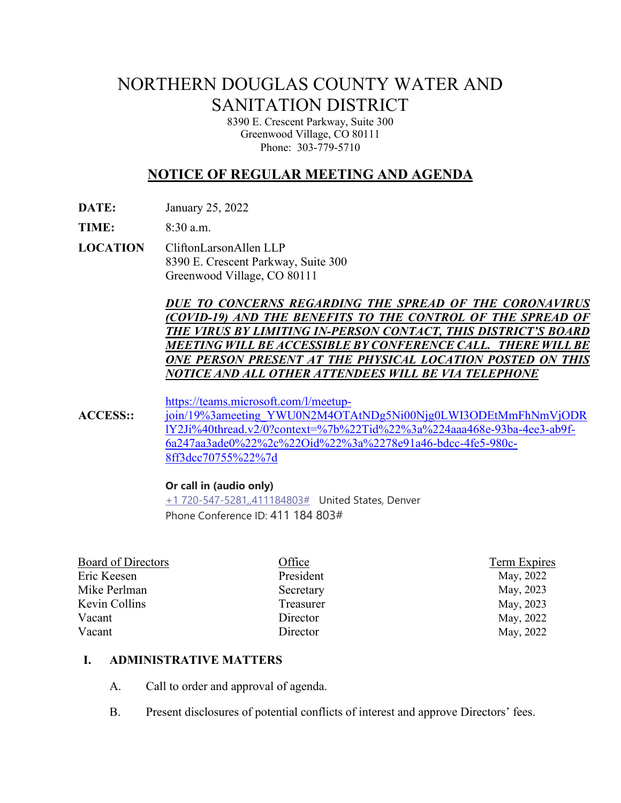# NORTHERN DOUGLAS COUNTY WATER AND SANITATION DISTRICT

8390 E. Crescent Parkway, Suite 300 Greenwood Village, CO 80111 Phone: 303-779-5710

# **NOTICE OF REGULAR MEETING AND AGENDA**

**DATE:** January 25, 2022

**TIME:** 8:30 a.m.

**LOCATION** CliftonLarsonAllen LLP 8390 E. Crescent Parkway, Suite 300 Greenwood Village, CO 80111

> *DUE TO CONCERNS REGARDING THE SPREAD OF THE CORONAVIRUS (COVID-19) AND THE BENEFITS TO THE CONTROL OF THE SPREAD OF THE VIRUS BY LIMITING IN-PERSON CONTACT, THIS DISTRICT'S BOARD MEETING WILL BE ACCESSIBLE BY CONFERENCE CALL. THERE WILLBE ONE PERSON PRESENT AT THE PHYSICAL LOCATION POSTED ON THIS NOTICE AND ALL OTHER ATTENDEES WILL BE VIA TELEPHONE*

[https://teams.microsoft.com/l/meetup-](https://teams.microsoft.com/l/meetup-join/19%3ameeting_YWU0N2M4OTAtNDg5Ni00Njg0LWI3ODEtMmFhNmVjODRlY2Ji%40thread.v2/0?context=%7b%22Tid%22%3a%224aaa468e-93ba-4ee3-ab9f-6a247aa3ade0%22%2c%22Oid%22%3a%2278e91a46-bdcc-4fe5-980c-8ff3dcc70755%22%7d)

**ACCESS::** [join/19%3ameeting\\_YWU0N2M4OTAtNDg5Ni00Njg0LWI3ODEtMmFhNmVjODR](https://teams.microsoft.com/l/meetup-join/19%3ameeting_YWU0N2M4OTAtNDg5Ni00Njg0LWI3ODEtMmFhNmVjODRlY2Ji%40thread.v2/0?context=%7b%22Tid%22%3a%224aaa468e-93ba-4ee3-ab9f-6a247aa3ade0%22%2c%22Oid%22%3a%2278e91a46-bdcc-4fe5-980c-8ff3dcc70755%22%7d) [lY2Ji%40thread.v2/0?context=%7b%22Tid%22%3a%224aaa468e-93ba-4ee3-ab9f-](https://teams.microsoft.com/l/meetup-join/19%3ameeting_YWU0N2M4OTAtNDg5Ni00Njg0LWI3ODEtMmFhNmVjODRlY2Ji%40thread.v2/0?context=%7b%22Tid%22%3a%224aaa468e-93ba-4ee3-ab9f-6a247aa3ade0%22%2c%22Oid%22%3a%2278e91a46-bdcc-4fe5-980c-8ff3dcc70755%22%7d)[6a247aa3ade0%22%2c%22Oid%22%3a%2278e91a46-bdcc-4fe5-980c-](https://teams.microsoft.com/l/meetup-join/19%3ameeting_YWU0N2M4OTAtNDg5Ni00Njg0LWI3ODEtMmFhNmVjODRlY2Ji%40thread.v2/0?context=%7b%22Tid%22%3a%224aaa468e-93ba-4ee3-ab9f-6a247aa3ade0%22%2c%22Oid%22%3a%2278e91a46-bdcc-4fe5-980c-8ff3dcc70755%22%7d)[8ff3dcc70755%22%7d](https://teams.microsoft.com/l/meetup-join/19%3ameeting_YWU0N2M4OTAtNDg5Ni00Njg0LWI3ODEtMmFhNmVjODRlY2Ji%40thread.v2/0?context=%7b%22Tid%22%3a%224aaa468e-93ba-4ee3-ab9f-6a247aa3ade0%22%2c%22Oid%22%3a%2278e91a46-bdcc-4fe5-980c-8ff3dcc70755%22%7d)

#### **Or call in (audio only)**

[+1 720-547-5281,,411184803#](tel:+17205475281,,411184803#%20) United States, Denver Phone Conference ID: 411 184 803#

| Board of Directors | Office    | Term Expires |
|--------------------|-----------|--------------|
| Eric Keesen        | President | May, 2022    |
| Mike Perlman       | Secretary | May, 2023    |
| Kevin Collins      | Treasurer | May, 2023    |
| Vacant             | Director  | May, 2022    |
| Vacant             | Director  | May, 2022    |
|                    |           |              |

#### **I. ADMINISTRATIVE MATTERS**

- A. Call to order and approval of agenda.
- B. Present disclosures of potential conflicts of interest and approve Directors' fees.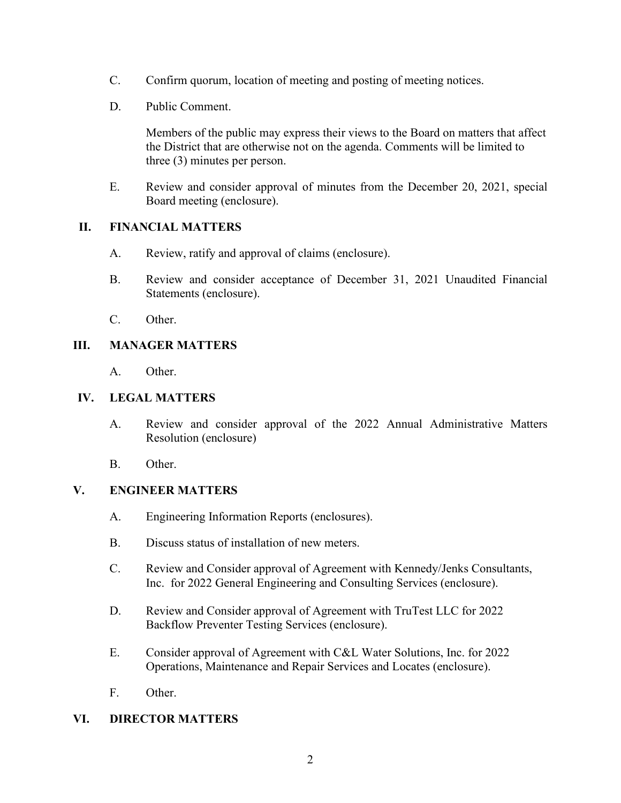- C. Confirm quorum, location of meeting and posting of meeting notices.
- D. Public Comment.

Members of the public may express their views to the Board on matters that affect the District that are otherwise not on the agenda. Comments will be limited to three (3) minutes per person.

E. Review and consider approval of minutes from the December 20, 2021, special Board meeting (enclosure).

# **II. FINANCIAL MATTERS**

- A. Review, ratify and approval of claims (enclosure).
- B. Review and consider acceptance of December 31, 2021 Unaudited Financial Statements (enclosure).
- C. Other.

### **III. MANAGER MATTERS**

A. Other.

## **IV. LEGAL MATTERS**

- A. Review and consider approval of the 2022 Annual Administrative Matters Resolution (enclosure)
- B. Other.

### **V. ENGINEER MATTERS**

- A. Engineering Information Reports (enclosures).
- B. Discuss status of installation of new meters.
- C. Review and Consider approval of Agreement with Kennedy/Jenks Consultants, Inc. for 2022 General Engineering and Consulting Services (enclosure).
- D. Review and Consider approval of Agreement with TruTest LLC for 2022 Backflow Preventer Testing Services (enclosure).
- E. Consider approval of Agreement with C&L Water Solutions, Inc. for 2022 Operations, Maintenance and Repair Services and Locates (enclosure).
- F. Other.

### **VI. DIRECTOR MATTERS**